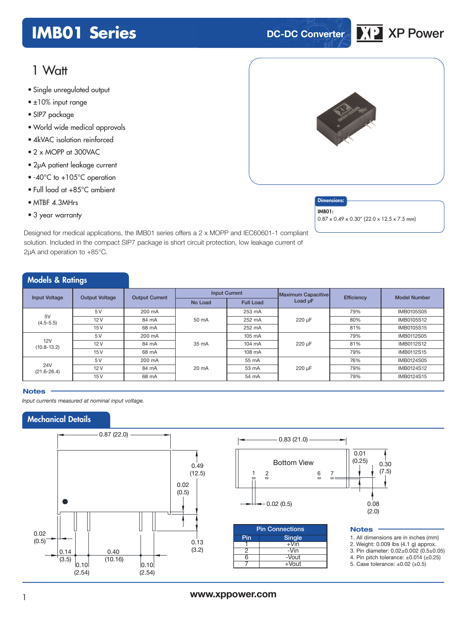## **IMB01 Series DC-DC Converter XP** XP Power

## 1 Watt

- Single unregulated output
- ±10% input range
- SIP7 package
- World wide medical approvals
- 4kVAC isolation reinforced
- 2 x MOPP at 300VAC
- 2μA patient leakage current
- -40°C to +105°C operation
- Full load at +85°C ambient
- MTBF 4.3MHrs
- 3 year warranty

Designed for medical applications, the IMB01 series offers a 2 x MOPP and IEC60601-1 compliant solution. Included in the compact SIP7 package is short circuit protection, Iow leakage current of 2µA and operation to +85°C.

| <b>Models &amp; Ratings</b>                   |                       |                      |                  |                           |            |                     |                   |
|-----------------------------------------------|-----------------------|----------------------|------------------|---------------------------|------------|---------------------|-------------------|
| <b>Output Voltage</b><br><b>Input Voltage</b> | <b>Output Current</b> | <b>Input Current</b> |                  | <b>Maximum Capacitive</b> | Efficiency | <b>Model Number</b> |                   |
|                                               |                       | No Load              | <b>Full Load</b> | Load µF                   |            |                     |                   |
|                                               | 5V                    | 200 mA               |                  | 253 mA                    |            | 79%                 | <b>IMB0105S05</b> |
| 5V<br>$(4.5 - 5.5)$                           | 12V                   | 84 mA                | 50 mA            | 252 mA                    | 220 µF     | 80%                 | IMB0105S12        |
|                                               | 15V                   | 68 mA                |                  | 252 mA                    |            | 81%                 | IMB0105S15        |
|                                               | 5V                    | 200 mA               |                  | 105 mA                    |            | 79%                 | <b>IMB0112S05</b> |
| 12V<br>$(10.8 - 13.2)$                        | 12V                   | 84 mA                | 35 mA            | 104 mA                    | 220 µF     | 81%                 | <b>IMB0112S12</b> |
|                                               | 15V                   | 68 mA                |                  | 108 mA                    |            | 79%                 | <b>IMB0112S15</b> |
|                                               | 5V                    | 200 mA               |                  | 55 mA                     |            | 76%                 | IMB0124S05        |
| <b>24V</b><br>$(21.6 - 26.4)$                 | 12V                   | 84 mA                | 20 mA            | 53 mA                     | 220 µF     | 79%                 | IMB0124S12        |
|                                               | 15V                   | 68 mA                |                  | 54 mA                     |            | 79%                 | IMB0124S15        |

#### **Notes**

*Input currents measured at nominal input voltage.*

## Mechanical Details



## <sup>1</sup> **www.xppower.com**



#### **Dimensions**

IMB01:

0.87 x 0.49 x 0.30" (22.0 x 12.5 x 7.5 mm)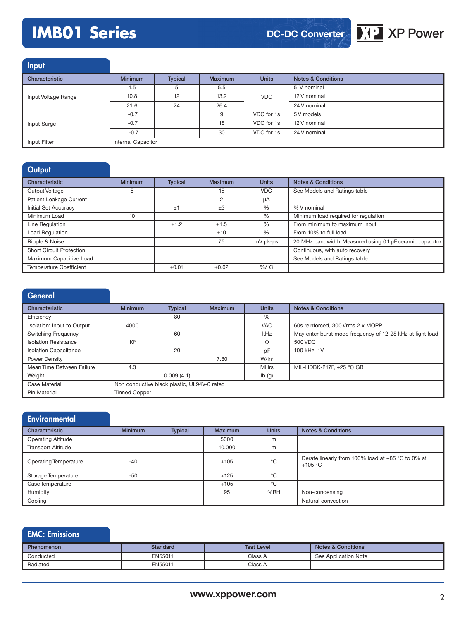## **IMB01 Series XP Power**





| Input               |                    |                |                |              |                               |
|---------------------|--------------------|----------------|----------------|--------------|-------------------------------|
| Characteristic      | <b>Minimum</b>     | <b>Typical</b> | <b>Maximum</b> | <b>Units</b> | <b>Notes &amp; Conditions</b> |
|                     | 4.5                | 5              | 5.5            |              | 5 V nominal                   |
| Input Voltage Range | 10.8               | 12             | 13.2           | <b>VDC</b>   | 12 V nominal                  |
|                     | 21.6               | 24             | 26.4           |              | 24 V nominal                  |
|                     | $-0.7$             |                | 9              | VDC for 1s   | 5 V models                    |
| Input Surge         | $-0.7$             |                | 18             | VDC for 1s   | 12 V nominal                  |
|                     | $-0.7$             |                | 30             | VDC for 1s   | 24 V nominal                  |
| Input Filter        | Internal Capacitor |                |                |              |                               |

| Output                          |                |                |         |              |                                                           |
|---------------------------------|----------------|----------------|---------|--------------|-----------------------------------------------------------|
| Characteristic                  | <b>Minimum</b> | <b>Typical</b> | Maximum | <b>Units</b> | <b>Notes &amp; Conditions</b>                             |
| Output Voltage                  | 5              |                | 15      | <b>VDC</b>   | See Models and Ratings table                              |
| Patient Leakage Current         |                |                | 2       | μA           |                                                           |
| Initial Set Accuracy            |                | ±1             | $\pm 3$ | $\%$         | % V nominal                                               |
| Minimum Load                    | 10             |                |         | %            | Minimum load required for regulation                      |
| Line Regulation                 |                | ±1.2           | ±1.5    | $\%$         | From minimum to maximum input                             |
| <b>Load Regulation</b>          |                |                | ±10     | $\%$         | From 10% to full load                                     |
| Ripple & Noise                  |                |                | 75      | mV pk-pk     | 20 MHz bandwidth. Measured using 0.1 µF ceramic capacitor |
| <b>Short Circuit Protection</b> |                |                |         |              | Continuous, with auto recovery                            |
| Maximum Capacitive Load         |                |                |         |              | See Models and Ratings table                              |
| Temperature Coefficient         |                | ±0.01          | ±0.02   | $%$ /°C      |                                                           |

| General |
|---------|
|---------|

| Characteristic               | <b>Minimum</b>                              | <b>Typical</b> | Maximum | <b>Units</b>              | <b>Notes &amp; Conditions</b>                             |  |
|------------------------------|---------------------------------------------|----------------|---------|---------------------------|-----------------------------------------------------------|--|
| Efficiency                   |                                             | 80             |         | $\frac{0}{6}$             |                                                           |  |
| Isolation: Input to Output   | 4000                                        |                |         | <b>VAC</b>                | 60s reinforced, 300 Vrms 2 x MOPP                         |  |
| <b>Switching Frequency</b>   |                                             | 60             |         | kHz                       | May enter burst mode frequency of 12-28 kHz at light load |  |
| <b>Isolation Resistance</b>  | 10 <sup>9</sup>                             |                |         | Ω                         | 500 VDC                                                   |  |
| <b>Isolation Capacitance</b> |                                             | 20             |         | pF                        | 100 kHz, 1V                                               |  |
| Power Density                |                                             |                | 7.80    | $W/in^3$                  |                                                           |  |
| Mean Time Between Failure    | 4.3                                         |                |         | <b>MHrs</b>               | MIL-HDBK-217F, +25 °C GB                                  |  |
| Weight                       |                                             | 0.009(4.1)     |         | $\mathsf{lb}(\mathsf{g})$ |                                                           |  |
| Case Material                | Non conductive black plastic, UL94V-0 rated |                |         |                           |                                                           |  |
| Pin Material                 | <b>Tinned Copper</b>                        |                |         |                           |                                                           |  |

| Environmental                |                |                |                |              |                                                                |
|------------------------------|----------------|----------------|----------------|--------------|----------------------------------------------------------------|
| Characteristic               | <b>Minimum</b> | <b>Typical</b> | <b>Maximum</b> | <b>Units</b> | <b>Notes &amp; Conditions</b>                                  |
| <b>Operating Altitude</b>    |                |                | 5000           | m            |                                                                |
| <b>Transport Altitude</b>    |                |                | 10,000         | m            |                                                                |
| <b>Operating Temperature</b> | $-40$          |                | $+105$         | $^{\circ}$ C | Derate linearly from 100% load at +85 °C to 0% at<br>$+105 °C$ |
| Storage Temperature          | $-50$          |                | $+125$         | °C           |                                                                |
| Case Temperature             |                |                | $+105$         | °C           |                                                                |
| Humidity                     |                |                | 95             | %RH          | Non-condensing                                                 |
| Cooling                      |                |                |                |              | Natural convection                                             |

### EMC: Emissions

| <b>Phenomenon</b> | Standard | <b>Test Level</b> | <b>Notes &amp; Conditions</b> |
|-------------------|----------|-------------------|-------------------------------|
| Conducted         | EN55011  | Class A           | See Application Note          |
| Radiated          | EN55011  | Class A           |                               |